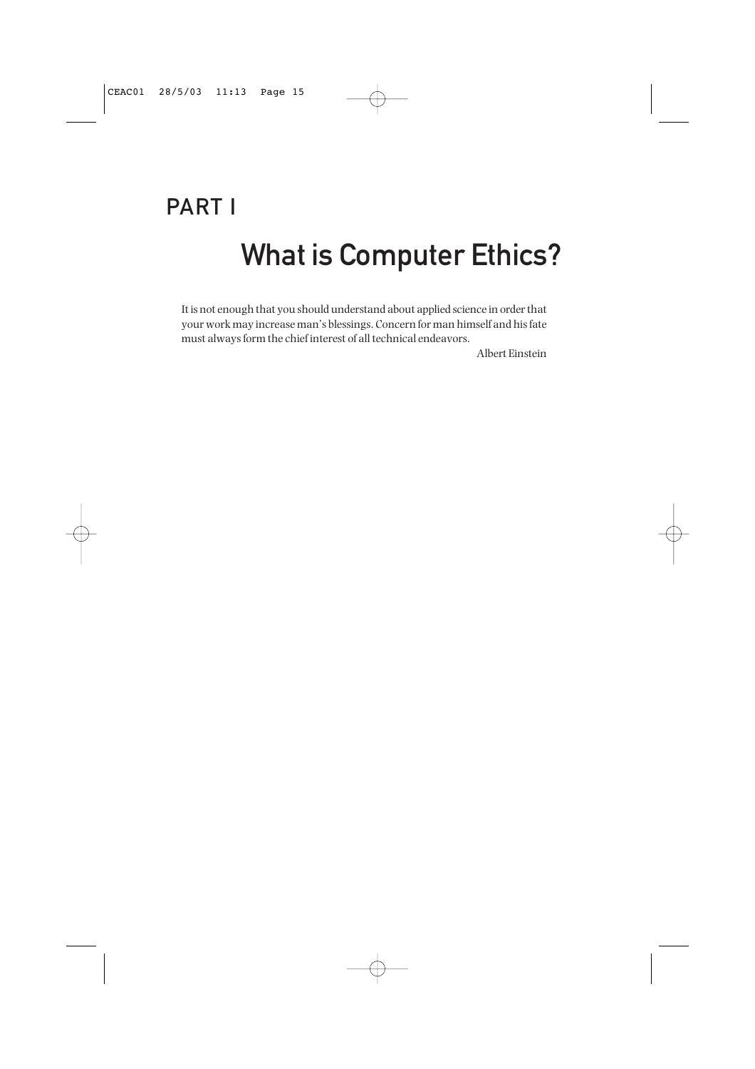## PART I

# What is Computer Ethics?

It is not enough that you should understand about applied science in order that your work may increase man's blessings. Concern for man himself and his fate must always form the chief interest of all technical endeavors.

Albert Einstein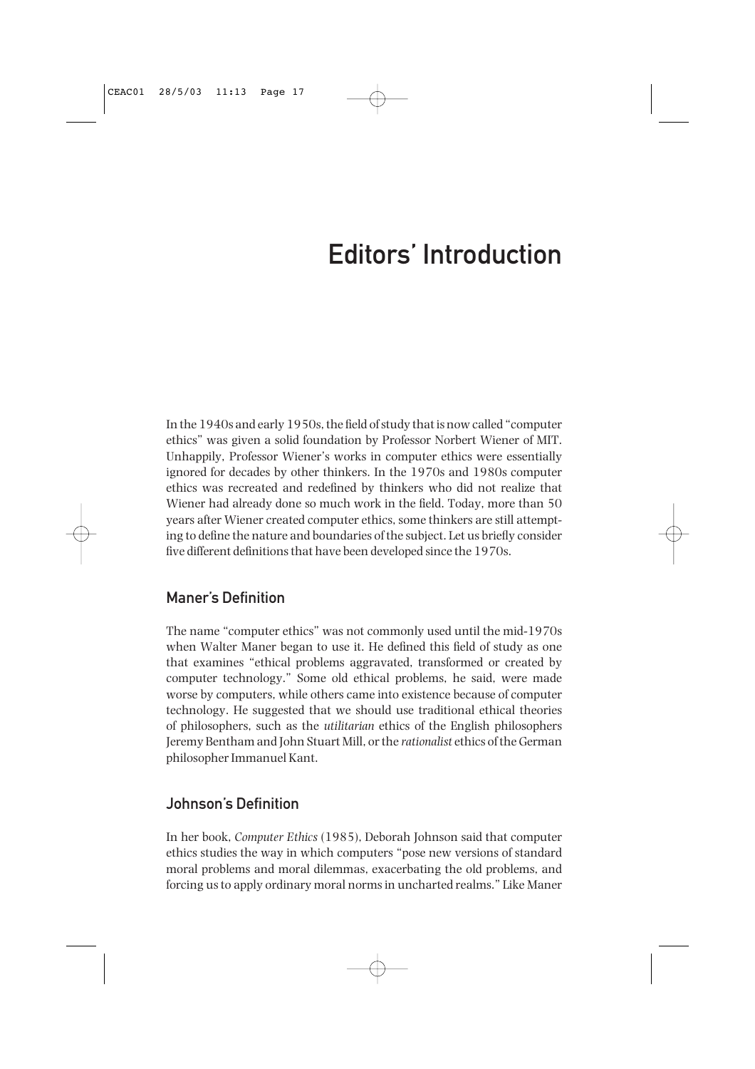# Editors' Introduction

In the 1940s and early 1950s, the field of study that is now called "computer ethics" was given a solid foundation by Professor Norbert Wiener of MIT. Unhappily, Professor Wiener's works in computer ethics were essentially ignored for decades by other thinkers. In the 1970s and 1980s computer ethics was recreated and redefined by thinkers who did not realize that Wiener had already done so much work in the field. Today, more than 50 years after Wiener created computer ethics, some thinkers are still attempting to define the nature and boundaries of the subject. Let us briefly consider five different definitions that have been developed since the 1970s.

## Maner's Definition

The name "computer ethics" was not commonly used until the mid-1970s when Walter Maner began to use it. He defined this field of study as one that examines "ethical problems aggravated, transformed or created by computer technology." Some old ethical problems, he said, were made worse by computers, while others came into existence because of computer technology. He suggested that we should use traditional ethical theories of philosophers, such as the *utilitarian* ethics of the English philosophers Jeremy Bentham and John Stuart Mill, or the *rationalist* ethics of the German philosopher Immanuel Kant.

### Johnson's Definition

In her book, *Computer Ethics* (1985), Deborah Johnson said that computer ethics studies the way in which computers "pose new versions of standard moral problems and moral dilemmas, exacerbating the old problems, and forcing us to apply ordinary moral norms in uncharted realms." Like Maner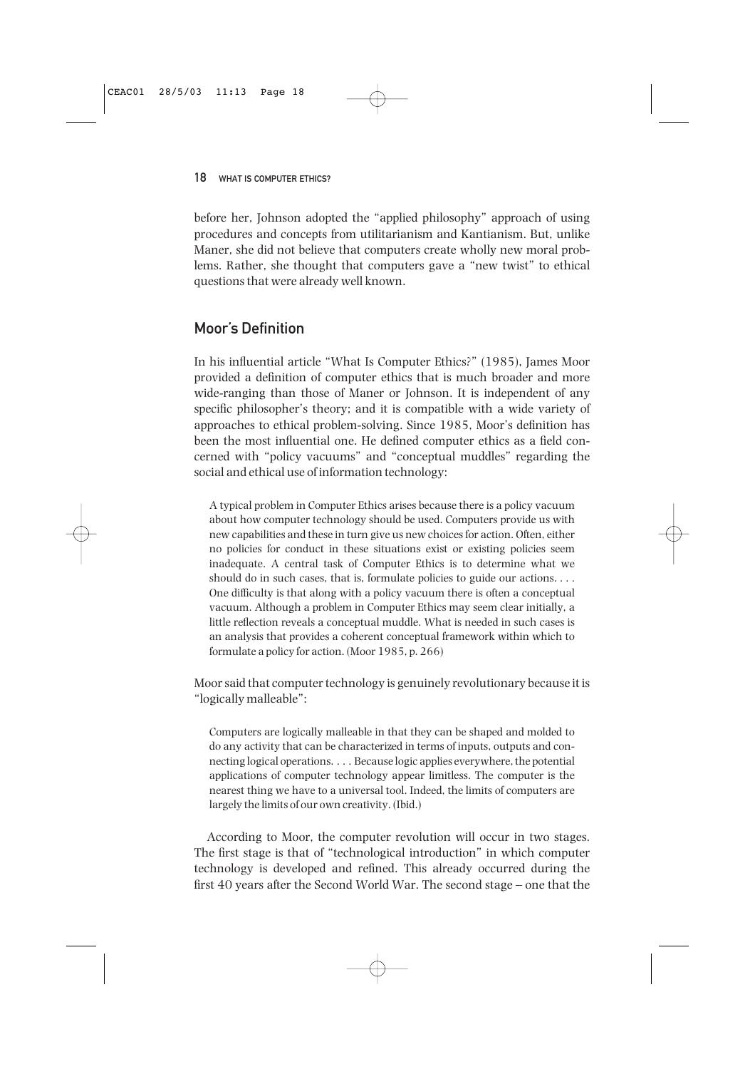before her, Johnson adopted the "applied philosophy" approach of using procedures and concepts from utilitarianism and Kantianism. But, unlike Maner, she did not believe that computers create wholly new moral problems. Rather, she thought that computers gave a "new twist" to ethical questions that were already well known.

## Moor's Definition

In his influential article "What Is Computer Ethics?" (1985), James Moor provided a definition of computer ethics that is much broader and more wide-ranging than those of Maner or Johnson. It is independent of any specific philosopher's theory; and it is compatible with a wide variety of approaches to ethical problem-solving. Since 1985, Moor's definition has been the most influential one. He defined computer ethics as a field concerned with "policy vacuums" and "conceptual muddles" regarding the social and ethical use of information technology:

A typical problem in Computer Ethics arises because there is a policy vacuum about how computer technology should be used. Computers provide us with new capabilities and these in turn give us new choices for action. Often, either no policies for conduct in these situations exist or existing policies seem inadequate. A central task of Computer Ethics is to determine what we should do in such cases, that is, formulate policies to guide our actions. . . . One difficulty is that along with a policy vacuum there is often a conceptual vacuum. Although a problem in Computer Ethics may seem clear initially, a little reflection reveals a conceptual muddle. What is needed in such cases is an analysis that provides a coherent conceptual framework within which to formulate a policy for action. (Moor 1985, p. 266)

Moor said that computer technology is genuinely revolutionary because it is "logically malleable":

Computers are logically malleable in that they can be shaped and molded to do any activity that can be characterized in terms of inputs, outputs and connecting logical operations. . . . Because logic applies everywhere, the potential applications of computer technology appear limitless. The computer is the nearest thing we have to a universal tool. Indeed, the limits of computers are largely the limits of our own creativity. (Ibid.)

According to Moor, the computer revolution will occur in two stages. The first stage is that of "technological introduction" in which computer technology is developed and refined. This already occurred during the first 40 years after the Second World War. The second stage – one that the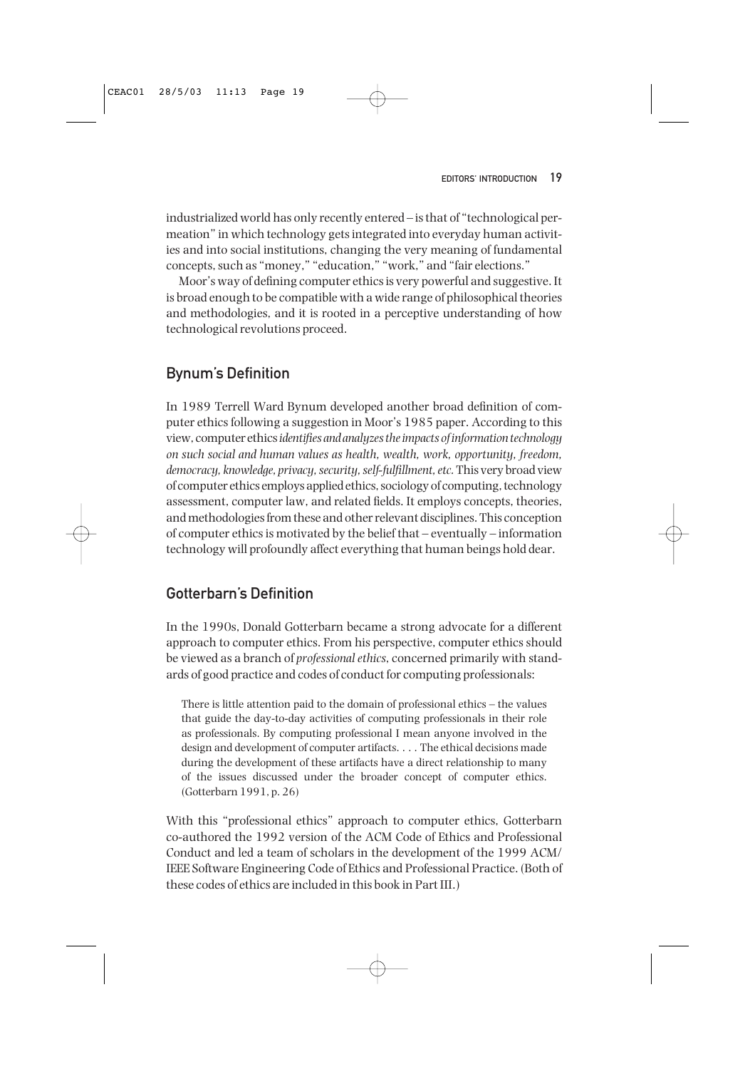industrialized world has only recently entered – is that of "technological permeation" in which technology gets integrated into everyday human activities and into social institutions, changing the very meaning of fundamental concepts, such as "money," "education," "work," and "fair elections."

Moor's way of defining computer ethics is very powerful and suggestive. It is broad enough to be compatible with a wide range of philosophical theories and methodologies, and it is rooted in a perceptive understanding of how technological revolutions proceed.

## Bynum's Definition

In 1989 Terrell Ward Bynum developed another broad definition of computer ethics following a suggestion in Moor's 1985 paper. According to this view, computer ethics *identifies and analyzes the impacts of information technology on such social and human values as health, wealth, work, opportunity, freedom, democracy, knowledge, privacy, security, self-fulfillment, etc.* This very broad view of computer ethics employs applied ethics, sociology of computing, technology assessment, computer law, and related fields. It employs concepts, theories, and methodologies from these and other relevant disciplines. This conception of computer ethics is motivated by the belief that – eventually – information technology will profoundly affect everything that human beings hold dear.

## Gotterbarn's Definition

In the 1990s, Donald Gotterbarn became a strong advocate for a different approach to computer ethics. From his perspective, computer ethics should be viewed as a branch of *professional ethics*, concerned primarily with standards of good practice and codes of conduct for computing professionals:

There is little attention paid to the domain of professional ethics – the values that guide the day-to-day activities of computing professionals in their role as professionals. By computing professional I mean anyone involved in the design and development of computer artifacts. . . . The ethical decisions made during the development of these artifacts have a direct relationship to many of the issues discussed under the broader concept of computer ethics. (Gotterbarn 1991, p. 26)

With this "professional ethics" approach to computer ethics, Gotterbarn co-authored the 1992 version of the ACM Code of Ethics and Professional Conduct and led a team of scholars in the development of the 1999 ACM/ IEEE Software Engineering Code of Ethics and Professional Practice. (Both of these codes of ethics are included in this book in Part III.)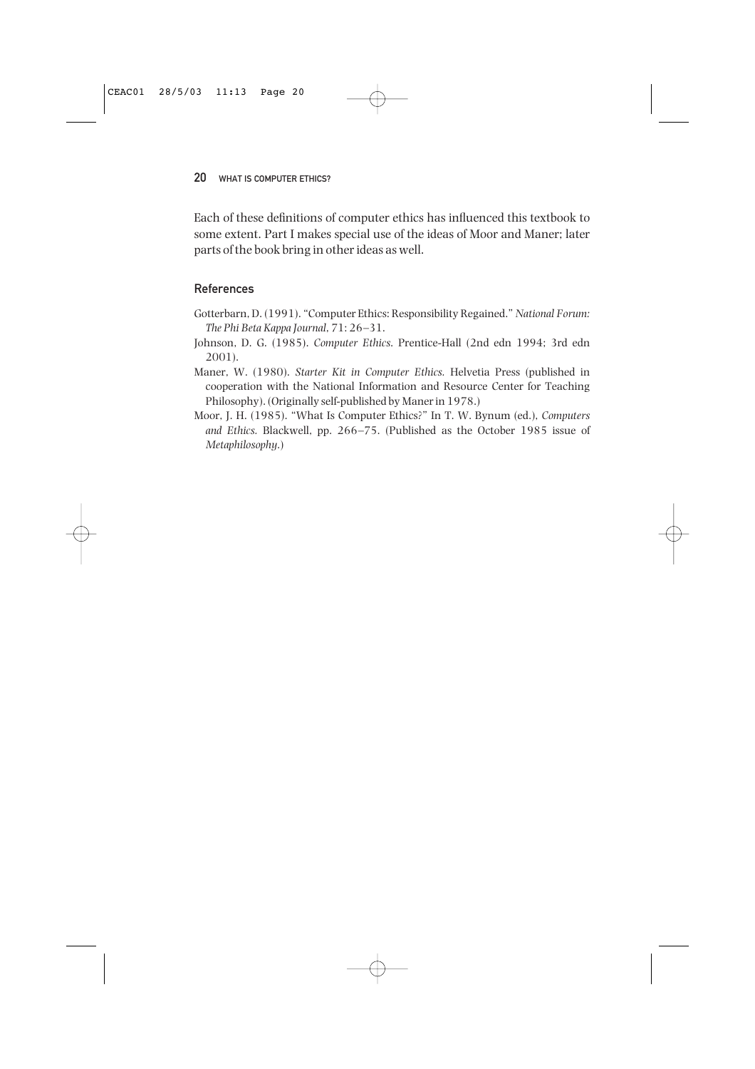Each of these definitions of computer ethics has influenced this textbook to some extent. Part I makes special use of the ideas of Moor and Maner; later parts of the book bring in other ideas as well.

#### References

- Gotterbarn, D. (1991). "Computer Ethics: Responsibility Regained." *National Forum: The Phi Beta Kappa Journal*, 71: 26–31.
- Johnson, D. G. (1985). *Computer Ethics*. Prentice-Hall (2nd edn 1994; 3rd edn 2001).
- Maner, W. (1980). *Starter Kit in Computer Ethics.* Helvetia Press (published in cooperation with the National Information and Resource Center for Teaching Philosophy). (Originally self-published by Maner in 1978.)
- Moor, J. H. (1985). "What Is Computer Ethics?" In T. W. Bynum (ed.), *Computers and Ethics.* Blackwell, pp. 266–75. (Published as the October 1985 issue of *Metaphilosophy*.)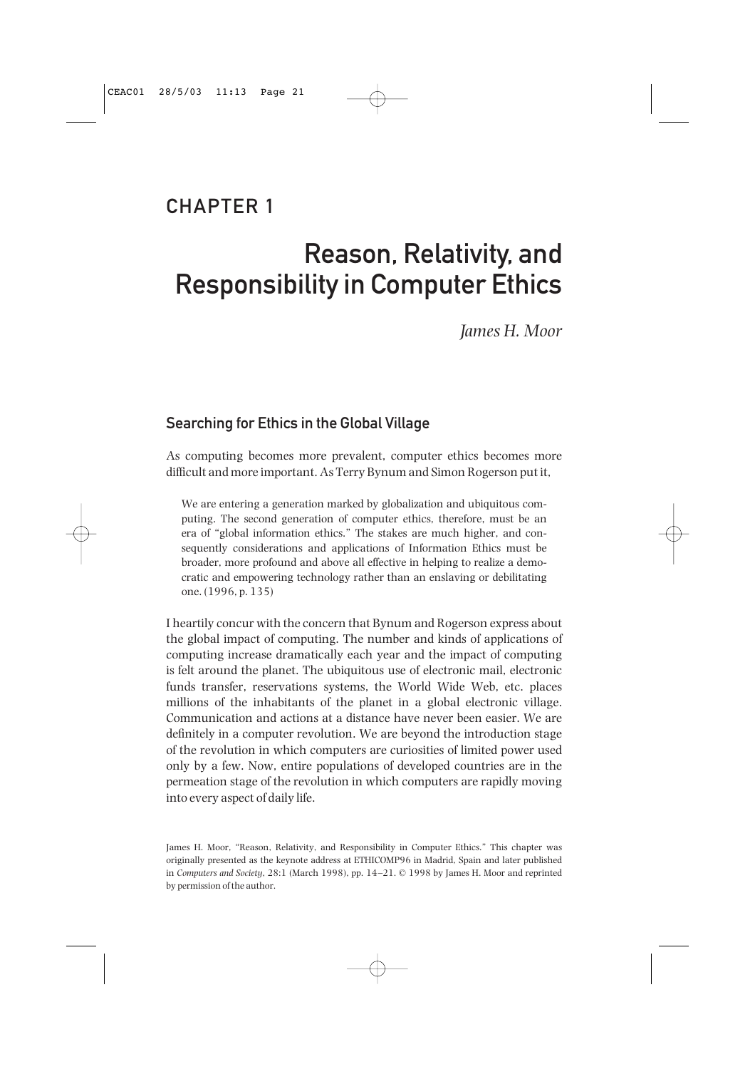## CHAPTER 1

# Reason, Relativity, and Responsibility in Computer Ethics

*James H. Moor*

## Searching for Ethics in the Global Village

As computing becomes more prevalent, computer ethics becomes more difficult and more important. As Terry Bynum and Simon Rogerson put it,

We are entering a generation marked by globalization and ubiquitous computing. The second generation of computer ethics, therefore, must be an era of "global information ethics." The stakes are much higher, and consequently considerations and applications of Information Ethics must be broader, more profound and above all effective in helping to realize a democratic and empowering technology rather than an enslaving or debilitating one. (1996, p. 135)

I heartily concur with the concern that Bynum and Rogerson express about the global impact of computing. The number and kinds of applications of computing increase dramatically each year and the impact of computing is felt around the planet. The ubiquitous use of electronic mail, electronic funds transfer, reservations systems, the World Wide Web, etc. places millions of the inhabitants of the planet in a global electronic village. Communication and actions at a distance have never been easier. We are definitely in a computer revolution. We are beyond the introduction stage of the revolution in which computers are curiosities of limited power used only by a few. Now, entire populations of developed countries are in the permeation stage of the revolution in which computers are rapidly moving into every aspect of daily life.

James H. Moor, "Reason, Relativity, and Responsibility in Computer Ethics." This chapter was originally presented as the keynote address at ETHICOMP96 in Madrid, Spain and later published in *Computers and Society*, 28:1 (March 1998), pp. 14–21. © 1998 by James H. Moor and reprinted by permission of the author.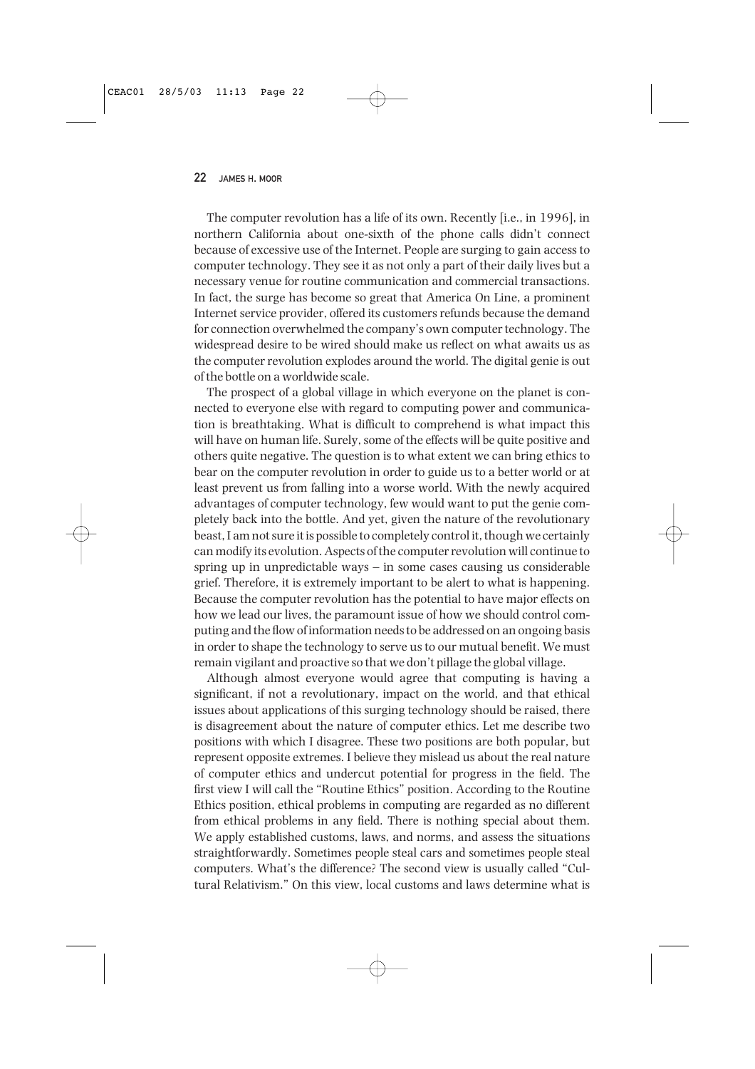The computer revolution has a life of its own. Recently [i.e., in 1996], in northern California about one-sixth of the phone calls didn't connect because of excessive use of the Internet. People are surging to gain access to computer technology. They see it as not only a part of their daily lives but a necessary venue for routine communication and commercial transactions. In fact, the surge has become so great that America On Line, a prominent Internet service provider, offered its customers refunds because the demand for connection overwhelmed the company's own computer technology. The widespread desire to be wired should make us reflect on what awaits us as the computer revolution explodes around the world. The digital genie is out of the bottle on a worldwide scale.

The prospect of a global village in which everyone on the planet is connected to everyone else with regard to computing power and communication is breathtaking. What is difficult to comprehend is what impact this will have on human life. Surely, some of the effects will be quite positive and others quite negative. The question is to what extent we can bring ethics to bear on the computer revolution in order to guide us to a better world or at least prevent us from falling into a worse world. With the newly acquired advantages of computer technology, few would want to put the genie completely back into the bottle. And yet, given the nature of the revolutionary beast, I am not sure it is possible to completely control it, though we certainly can modify its evolution. Aspects of the computer revolution will continue to spring up in unpredictable ways – in some cases causing us considerable grief. Therefore, it is extremely important to be alert to what is happening. Because the computer revolution has the potential to have major effects on how we lead our lives, the paramount issue of how we should control computing and the flow of information needs to be addressed on an ongoing basis in order to shape the technology to serve us to our mutual benefit. We must remain vigilant and proactive so that we don't pillage the global village.

Although almost everyone would agree that computing is having a significant, if not a revolutionary, impact on the world, and that ethical issues about applications of this surging technology should be raised, there is disagreement about the nature of computer ethics. Let me describe two positions with which I disagree. These two positions are both popular, but represent opposite extremes. I believe they mislead us about the real nature of computer ethics and undercut potential for progress in the field. The first view I will call the "Routine Ethics" position. According to the Routine Ethics position, ethical problems in computing are regarded as no different from ethical problems in any field. There is nothing special about them. We apply established customs, laws, and norms, and assess the situations straightforwardly. Sometimes people steal cars and sometimes people steal computers. What's the difference? The second view is usually called "Cultural Relativism." On this view, local customs and laws determine what is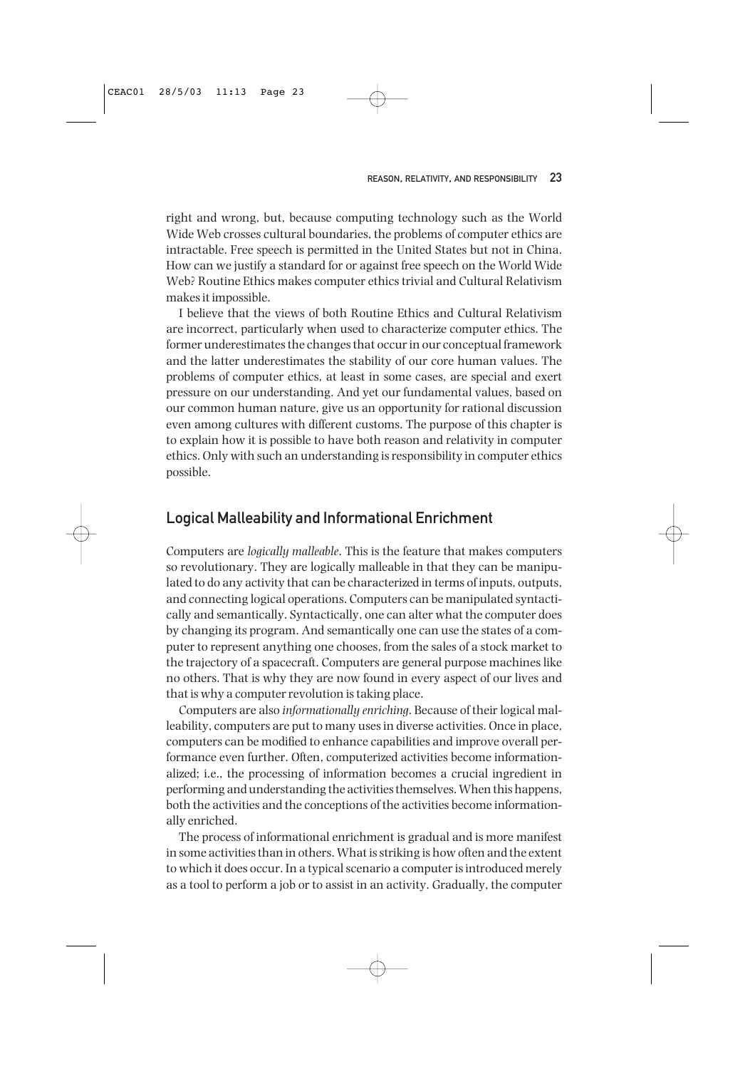right and wrong, but, because computing technology such as the World Wide Web crosses cultural boundaries, the problems of computer ethics are intractable. Free speech is permitted in the United States but not in China. How can we justify a standard for or against free speech on the World Wide Web? Routine Ethics makes computer ethics trivial and Cultural Relativism makes it impossible.

I believe that the views of both Routine Ethics and Cultural Relativism are incorrect, particularly when used to characterize computer ethics. The former underestimates the changes that occur in our conceptual framework and the latter underestimates the stability of our core human values. The problems of computer ethics, at least in some cases, are special and exert pressure on our understanding. And yet our fundamental values, based on our common human nature, give us an opportunity for rational discussion even among cultures with different customs. The purpose of this chapter is to explain how it is possible to have both reason and relativity in computer ethics. Only with such an understanding is responsibility in computer ethics possible.

## Logical Malleability and Informational Enrichment

Computers are *logically malleable*. This is the feature that makes computers so revolutionary. They are logically malleable in that they can be manipulated to do any activity that can be characterized in terms of inputs, outputs, and connecting logical operations. Computers can be manipulated syntactically and semantically. Syntactically, one can alter what the computer does by changing its program. And semantically one can use the states of a computer to represent anything one chooses, from the sales of a stock market to the trajectory of a spacecraft. Computers are general purpose machines like no others. That is why they are now found in every aspect of our lives and that is why a computer revolution is taking place.

Computers are also *informationally enriching*. Because of their logical malleability, computers are put to many uses in diverse activities. Once in place, computers can be modified to enhance capabilities and improve overall performance even further. Often, computerized activities become informationalized; i.e., the processing of information becomes a crucial ingredient in performing and understanding the activities themselves. When this happens, both the activities and the conceptions of the activities become informationally enriched.

The process of informational enrichment is gradual and is more manifest in some activities than in others. What is striking is how often and the extent to which it does occur. In a typical scenario a computer is introduced merely as a tool to perform a job or to assist in an activity. Gradually, the computer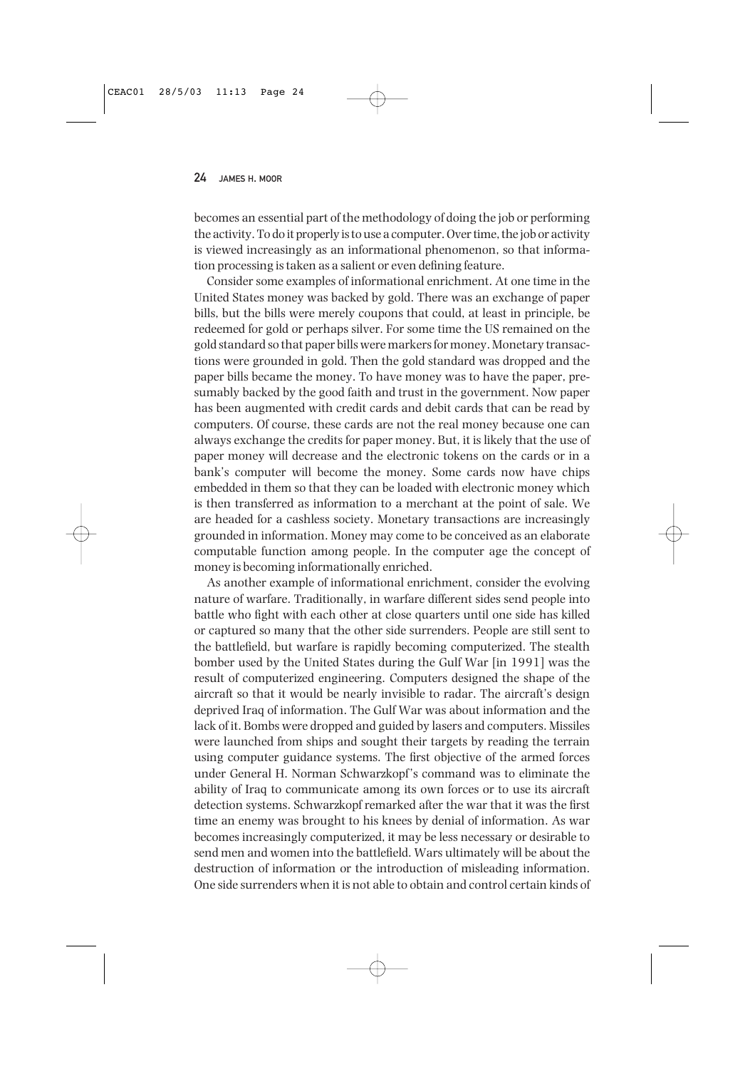becomes an essential part of the methodology of doing the job or performing the activity. To do it properly is to use a computer. Over time, the job or activity is viewed increasingly as an informational phenomenon, so that information processing is taken as a salient or even defining feature.

Consider some examples of informational enrichment. At one time in the United States money was backed by gold. There was an exchange of paper bills, but the bills were merely coupons that could, at least in principle, be redeemed for gold or perhaps silver. For some time the US remained on the gold standard so that paper bills were markers for money. Monetary transactions were grounded in gold. Then the gold standard was dropped and the paper bills became the money. To have money was to have the paper, presumably backed by the good faith and trust in the government. Now paper has been augmented with credit cards and debit cards that can be read by computers. Of course, these cards are not the real money because one can always exchange the credits for paper money. But, it is likely that the use of paper money will decrease and the electronic tokens on the cards or in a bank's computer will become the money. Some cards now have chips embedded in them so that they can be loaded with electronic money which is then transferred as information to a merchant at the point of sale. We are headed for a cashless society. Monetary transactions are increasingly grounded in information. Money may come to be conceived as an elaborate computable function among people. In the computer age the concept of money is becoming informationally enriched.

As another example of informational enrichment, consider the evolving nature of warfare. Traditionally, in warfare different sides send people into battle who fight with each other at close quarters until one side has killed or captured so many that the other side surrenders. People are still sent to the battlefield, but warfare is rapidly becoming computerized. The stealth bomber used by the United States during the Gulf War [in 1991] was the result of computerized engineering. Computers designed the shape of the aircraft so that it would be nearly invisible to radar. The aircraft's design deprived Iraq of information. The Gulf War was about information and the lack of it. Bombs were dropped and guided by lasers and computers. Missiles were launched from ships and sought their targets by reading the terrain using computer guidance systems. The first objective of the armed forces under General H. Norman Schwarzkopf's command was to eliminate the ability of Iraq to communicate among its own forces or to use its aircraft detection systems. Schwarzkopf remarked after the war that it was the first time an enemy was brought to his knees by denial of information. As war becomes increasingly computerized, it may be less necessary or desirable to send men and women into the battlefield. Wars ultimately will be about the destruction of information or the introduction of misleading information. One side surrenders when it is not able to obtain and control certain kinds of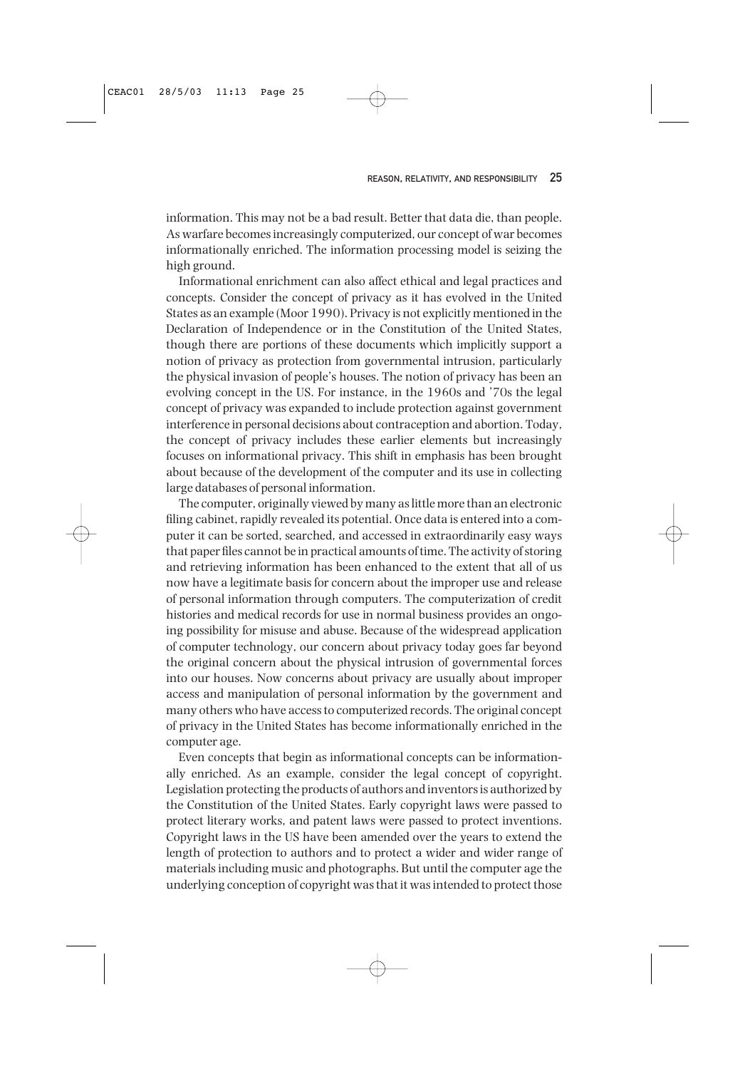information. This may not be a bad result. Better that data die, than people. As warfare becomes increasingly computerized, our concept of war becomes informationally enriched. The information processing model is seizing the high ground.

Informational enrichment can also affect ethical and legal practices and concepts. Consider the concept of privacy as it has evolved in the United States as an example (Moor 1990). Privacy is not explicitly mentioned in the Declaration of Independence or in the Constitution of the United States, though there are portions of these documents which implicitly support a notion of privacy as protection from governmental intrusion, particularly the physical invasion of people's houses. The notion of privacy has been an evolving concept in the US. For instance, in the 1960s and '70s the legal concept of privacy was expanded to include protection against government interference in personal decisions about contraception and abortion. Today, the concept of privacy includes these earlier elements but increasingly focuses on informational privacy. This shift in emphasis has been brought about because of the development of the computer and its use in collecting large databases of personal information.

The computer, originally viewed by many as little more than an electronic filing cabinet, rapidly revealed its potential. Once data is entered into a computer it can be sorted, searched, and accessed in extraordinarily easy ways that paper files cannot be in practical amounts of time. The activity of storing and retrieving information has been enhanced to the extent that all of us now have a legitimate basis for concern about the improper use and release of personal information through computers. The computerization of credit histories and medical records for use in normal business provides an ongoing possibility for misuse and abuse. Because of the widespread application of computer technology, our concern about privacy today goes far beyond the original concern about the physical intrusion of governmental forces into our houses. Now concerns about privacy are usually about improper access and manipulation of personal information by the government and many others who have access to computerized records. The original concept of privacy in the United States has become informationally enriched in the computer age.

Even concepts that begin as informational concepts can be informationally enriched. As an example, consider the legal concept of copyright. Legislation protecting the products of authors and inventors is authorized by the Constitution of the United States. Early copyright laws were passed to protect literary works, and patent laws were passed to protect inventions. Copyright laws in the US have been amended over the years to extend the length of protection to authors and to protect a wider and wider range of materials including music and photographs. But until the computer age the underlying conception of copyright was that it was intended to protect those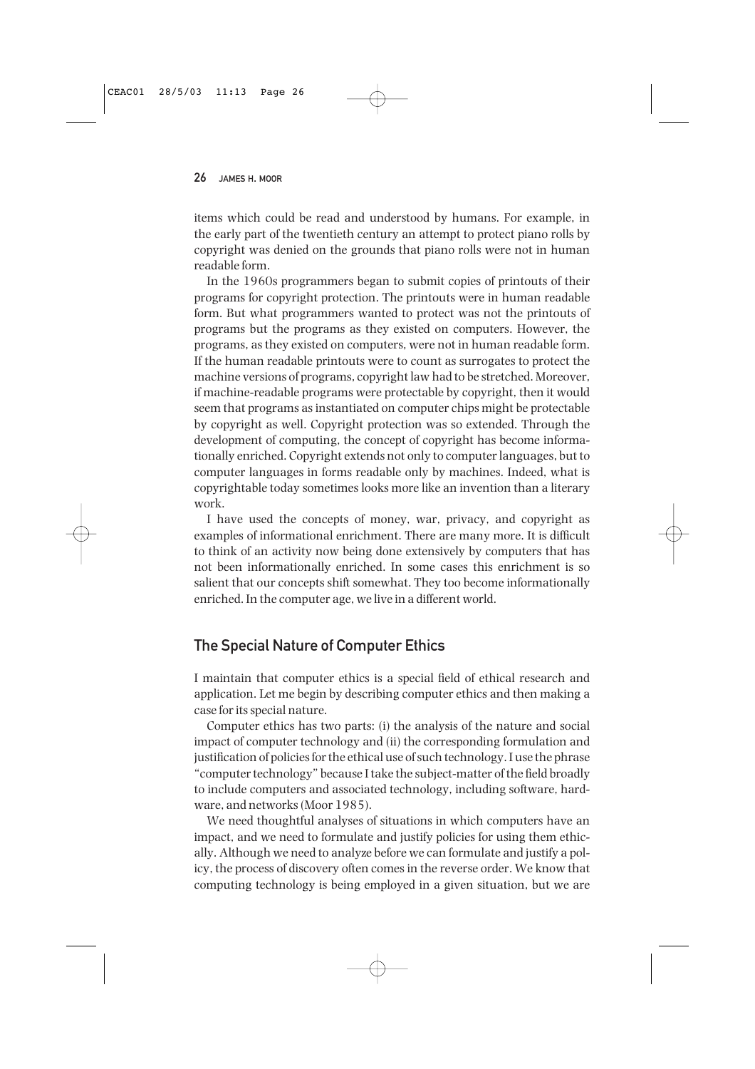items which could be read and understood by humans. For example, in the early part of the twentieth century an attempt to protect piano rolls by copyright was denied on the grounds that piano rolls were not in human readable form.

In the 1960s programmers began to submit copies of printouts of their programs for copyright protection. The printouts were in human readable form. But what programmers wanted to protect was not the printouts of programs but the programs as they existed on computers. However, the programs, as they existed on computers, were not in human readable form. If the human readable printouts were to count as surrogates to protect the machine versions of programs, copyright law had to be stretched. Moreover, if machine-readable programs were protectable by copyright, then it would seem that programs as instantiated on computer chips might be protectable by copyright as well. Copyright protection was so extended. Through the development of computing, the concept of copyright has become informationally enriched. Copyright extends not only to computer languages, but to computer languages in forms readable only by machines. Indeed, what is copyrightable today sometimes looks more like an invention than a literary work.

I have used the concepts of money, war, privacy, and copyright as examples of informational enrichment. There are many more. It is difficult to think of an activity now being done extensively by computers that has not been informationally enriched. In some cases this enrichment is so salient that our concepts shift somewhat. They too become informationally enriched. In the computer age, we live in a different world.

## The Special Nature of Computer Ethics

I maintain that computer ethics is a special field of ethical research and application. Let me begin by describing computer ethics and then making a case for its special nature.

Computer ethics has two parts: (i) the analysis of the nature and social impact of computer technology and (ii) the corresponding formulation and justification of policies for the ethical use of such technology. I use the phrase "computer technology" because I take the subject-matter of the field broadly to include computers and associated technology, including software, hardware, and networks (Moor 1985).

We need thoughtful analyses of situations in which computers have an impact, and we need to formulate and justify policies for using them ethically. Although we need to analyze before we can formulate and justify a policy, the process of discovery often comes in the reverse order. We know that computing technology is being employed in a given situation, but we are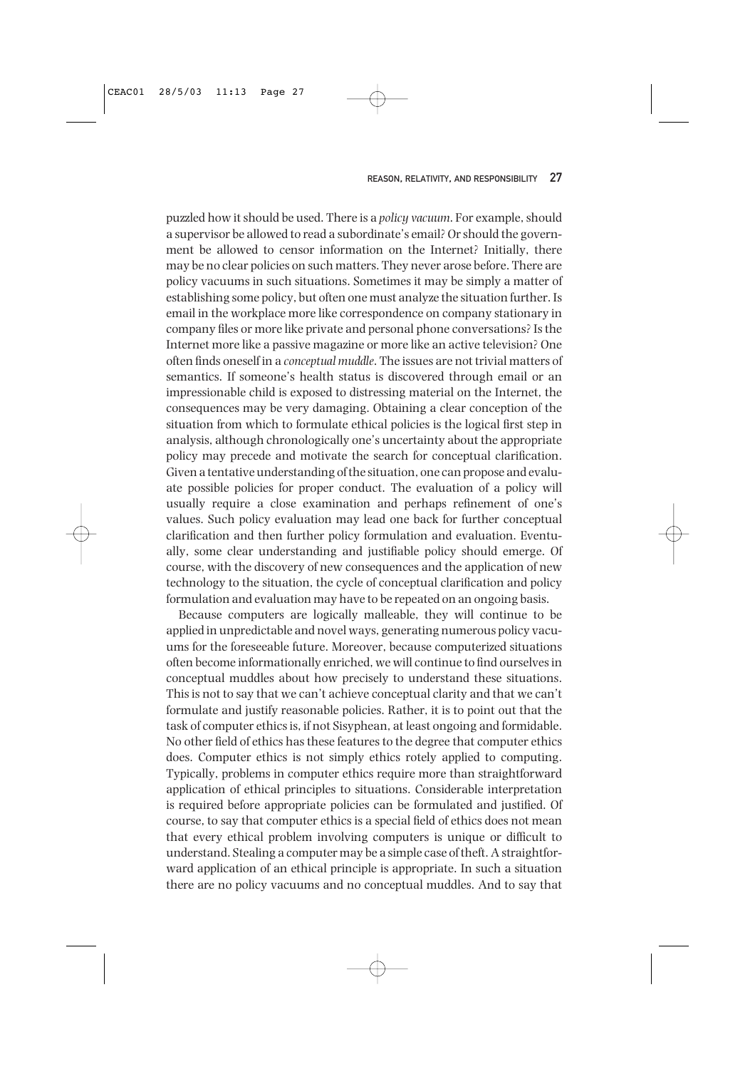puzzled how it should be used. There is a *policy vacuum*. For example, should a supervisor be allowed to read a subordinate's email? Or should the government be allowed to censor information on the Internet? Initially, there may be no clear policies on such matters. They never arose before. There are policy vacuums in such situations. Sometimes it may be simply a matter of establishing some policy, but often one must analyze the situation further. Is email in the workplace more like correspondence on company stationary in company files or more like private and personal phone conversations? Is the Internet more like a passive magazine or more like an active television? One often finds oneself in a *conceptual muddle*. The issues are not trivial matters of semantics. If someone's health status is discovered through email or an impressionable child is exposed to distressing material on the Internet, the consequences may be very damaging. Obtaining a clear conception of the situation from which to formulate ethical policies is the logical first step in analysis, although chronologically one's uncertainty about the appropriate policy may precede and motivate the search for conceptual clarification. Given a tentative understanding of the situation, one can propose and evaluate possible policies for proper conduct. The evaluation of a policy will usually require a close examination and perhaps refinement of one's values. Such policy evaluation may lead one back for further conceptual clarification and then further policy formulation and evaluation. Eventually, some clear understanding and justifiable policy should emerge. Of course, with the discovery of new consequences and the application of new technology to the situation, the cycle of conceptual clarification and policy formulation and evaluation may have to be repeated on an ongoing basis.

Because computers are logically malleable, they will continue to be applied in unpredictable and novel ways, generating numerous policy vacuums for the foreseeable future. Moreover, because computerized situations often become informationally enriched, we will continue to find ourselves in conceptual muddles about how precisely to understand these situations. This is not to say that we can't achieve conceptual clarity and that we can't formulate and justify reasonable policies. Rather, it is to point out that the task of computer ethics is, if not Sisyphean, at least ongoing and formidable. No other field of ethics has these features to the degree that computer ethics does. Computer ethics is not simply ethics rotely applied to computing. Typically, problems in computer ethics require more than straightforward application of ethical principles to situations. Considerable interpretation is required before appropriate policies can be formulated and justified. Of course, to say that computer ethics is a special field of ethics does not mean that every ethical problem involving computers is unique or difficult to understand. Stealing a computer may be a simple case of theft. A straightforward application of an ethical principle is appropriate. In such a situation there are no policy vacuums and no conceptual muddles. And to say that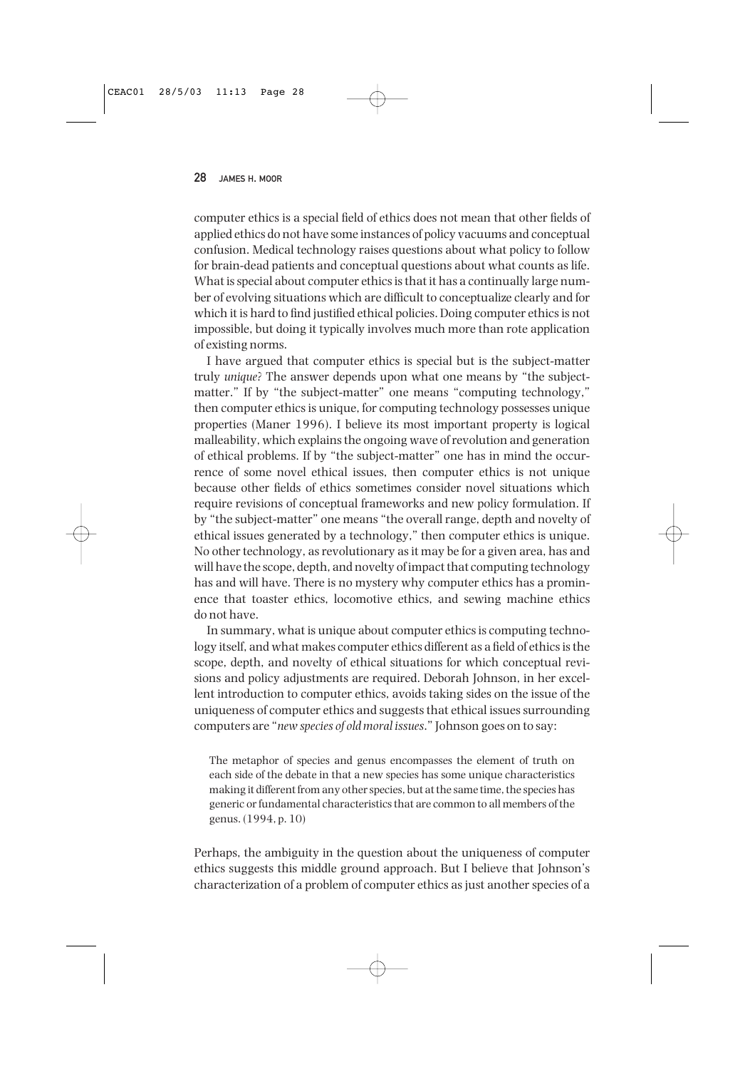computer ethics is a special field of ethics does not mean that other fields of applied ethics do not have some instances of policy vacuums and conceptual confusion. Medical technology raises questions about what policy to follow for brain-dead patients and conceptual questions about what counts as life. What is special about computer ethics is that it has a continually large number of evolving situations which are difficult to conceptualize clearly and for which it is hard to find justified ethical policies. Doing computer ethics is not impossible, but doing it typically involves much more than rote application of existing norms.

I have argued that computer ethics is special but is the subject-matter truly *unique*? The answer depends upon what one means by "the subjectmatter." If by "the subject-matter" one means "computing technology," then computer ethics is unique, for computing technology possesses unique properties (Maner 1996). I believe its most important property is logical malleability, which explains the ongoing wave of revolution and generation of ethical problems. If by "the subject-matter" one has in mind the occurrence of some novel ethical issues, then computer ethics is not unique because other fields of ethics sometimes consider novel situations which require revisions of conceptual frameworks and new policy formulation. If by "the subject-matter" one means "the overall range, depth and novelty of ethical issues generated by a technology," then computer ethics is unique. No other technology, as revolutionary as it may be for a given area, has and will have the scope, depth, and novelty of impact that computing technology has and will have. There is no mystery why computer ethics has a prominence that toaster ethics, locomotive ethics, and sewing machine ethics do not have.

In summary, what is unique about computer ethics is computing technology itself, and what makes computer ethics different as a field of ethics is the scope, depth, and novelty of ethical situations for which conceptual revisions and policy adjustments are required. Deborah Johnson, in her excellent introduction to computer ethics, avoids taking sides on the issue of the uniqueness of computer ethics and suggests that ethical issues surrounding computers are "*new species of old moral issues*." Johnson goes on to say:

The metaphor of species and genus encompasses the element of truth on each side of the debate in that a new species has some unique characteristics making it different from any other species, but at the same time, the species has generic or fundamental characteristics that are common to all members of the genus. (1994, p. 10)

Perhaps, the ambiguity in the question about the uniqueness of computer ethics suggests this middle ground approach. But I believe that Johnson's characterization of a problem of computer ethics as just another species of a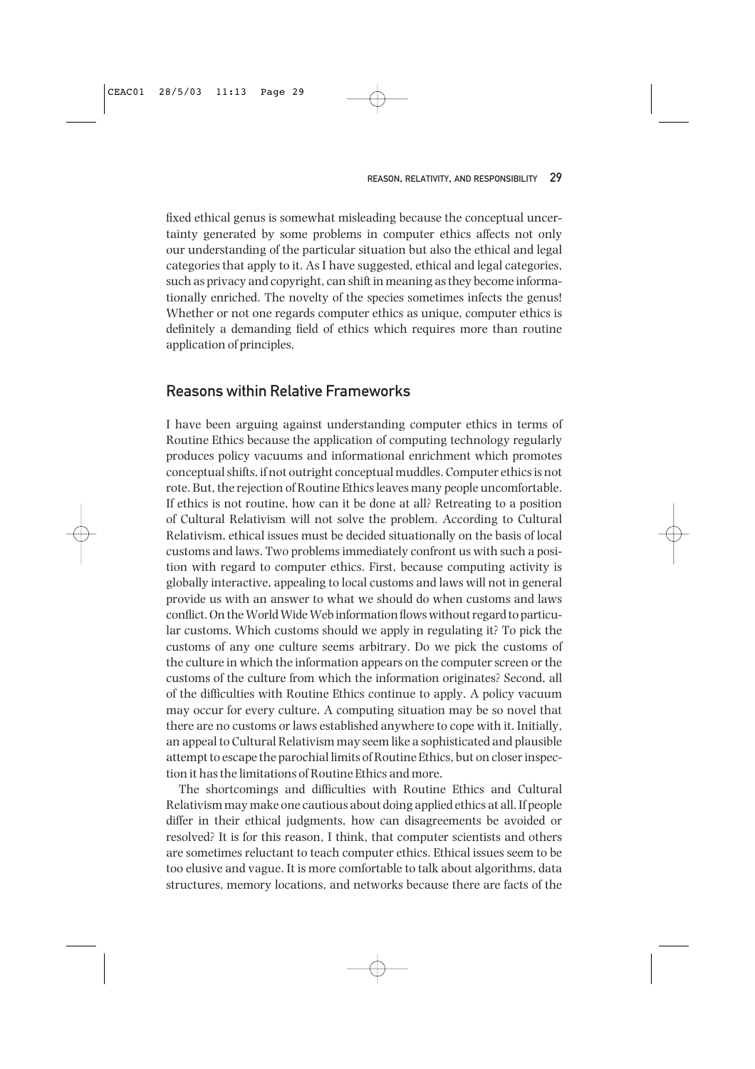fixed ethical genus is somewhat misleading because the conceptual uncertainty generated by some problems in computer ethics affects not only our understanding of the particular situation but also the ethical and legal categories that apply to it. As I have suggested, ethical and legal categories, such as privacy and copyright, can shift in meaning as they become informationally enriched. The novelty of the species sometimes infects the genus! Whether or not one regards computer ethics as unique, computer ethics is definitely a demanding field of ethics which requires more than routine application of principles.

## Reasons within Relative Frameworks

I have been arguing against understanding computer ethics in terms of Routine Ethics because the application of computing technology regularly produces policy vacuums and informational enrichment which promotes conceptual shifts, if not outright conceptual muddles. Computer ethics is not rote. But, the rejection of Routine Ethics leaves many people uncomfortable. If ethics is not routine, how can it be done at all? Retreating to a position of Cultural Relativism will not solve the problem. According to Cultural Relativism, ethical issues must be decided situationally on the basis of local customs and laws. Two problems immediately confront us with such a position with regard to computer ethics. First, because computing activity is globally interactive, appealing to local customs and laws will not in general provide us with an answer to what we should do when customs and laws conflict. On the World Wide Web information flows without regard to particular customs. Which customs should we apply in regulating it? To pick the customs of any one culture seems arbitrary. Do we pick the customs of the culture in which the information appears on the computer screen or the customs of the culture from which the information originates? Second, all of the difficulties with Routine Ethics continue to apply. A policy vacuum may occur for every culture. A computing situation may be so novel that there are no customs or laws established anywhere to cope with it. Initially, an appeal to Cultural Relativism may seem like a sophisticated and plausible attempt to escape the parochial limits of Routine Ethics, but on closer inspection it has the limitations of Routine Ethics and more.

The shortcomings and difficulties with Routine Ethics and Cultural Relativism may make one cautious about doing applied ethics at all. If people differ in their ethical judgments, how can disagreements be avoided or resolved? It is for this reason, I think, that computer scientists and others are sometimes reluctant to teach computer ethics. Ethical issues seem to be too elusive and vague. It is more comfortable to talk about algorithms, data structures, memory locations, and networks because there are facts of the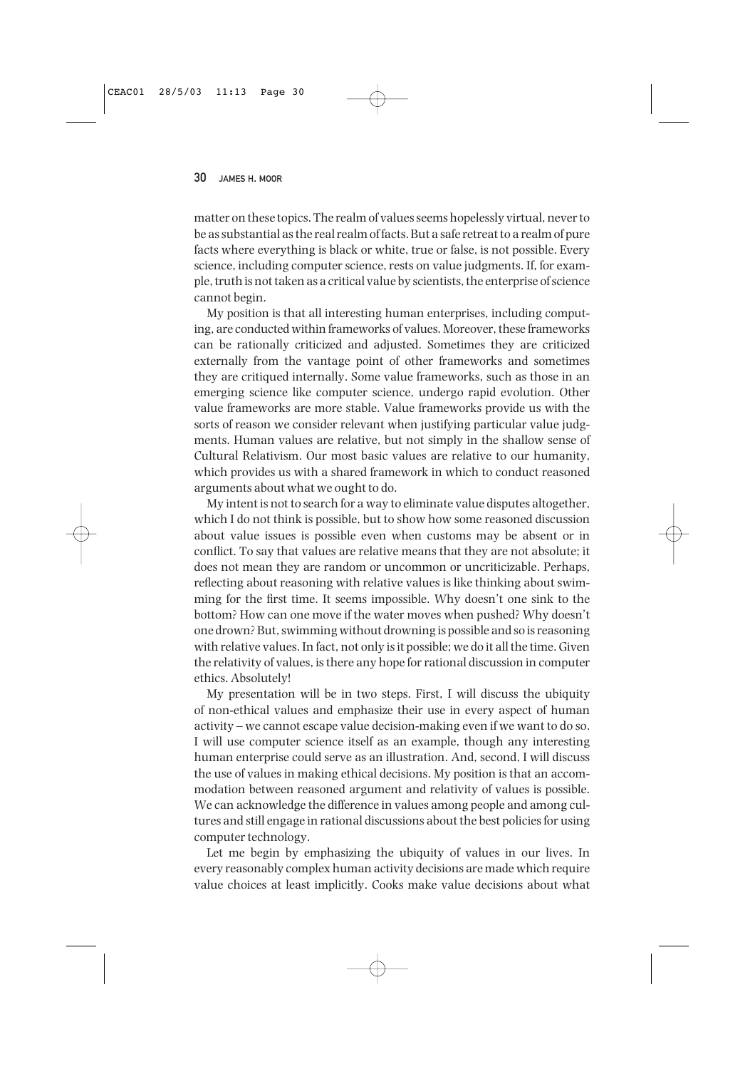matter on these topics. The realm of values seems hopelessly virtual, never to be as substantial as the real realm of facts. But a safe retreat to a realm of pure facts where everything is black or white, true or false, is not possible. Every science, including computer science, rests on value judgments. If, for example, truth is not taken as a critical value by scientists, the enterprise of science cannot begin.

My position is that all interesting human enterprises, including computing, are conducted within frameworks of values. Moreover, these frameworks can be rationally criticized and adjusted. Sometimes they are criticized externally from the vantage point of other frameworks and sometimes they are critiqued internally. Some value frameworks, such as those in an emerging science like computer science, undergo rapid evolution. Other value frameworks are more stable. Value frameworks provide us with the sorts of reason we consider relevant when justifying particular value judgments. Human values are relative, but not simply in the shallow sense of Cultural Relativism. Our most basic values are relative to our humanity, which provides us with a shared framework in which to conduct reasoned arguments about what we ought to do.

My intent is not to search for a way to eliminate value disputes altogether, which I do not think is possible, but to show how some reasoned discussion about value issues is possible even when customs may be absent or in conflict. To say that values are relative means that they are not absolute; it does not mean they are random or uncommon or uncriticizable. Perhaps, reflecting about reasoning with relative values is like thinking about swimming for the first time. It seems impossible. Why doesn't one sink to the bottom? How can one move if the water moves when pushed? Why doesn't one drown? But, swimming without drowning is possible and so is reasoning with relative values. In fact, not only is it possible; we do it all the time. Given the relativity of values, is there any hope for rational discussion in computer ethics. Absolutely!

My presentation will be in two steps. First, I will discuss the ubiquity of non-ethical values and emphasize their use in every aspect of human activity – we cannot escape value decision-making even if we want to do so. I will use computer science itself as an example, though any interesting human enterprise could serve as an illustration. And, second, I will discuss the use of values in making ethical decisions. My position is that an accommodation between reasoned argument and relativity of values is possible. We can acknowledge the difference in values among people and among cultures and still engage in rational discussions about the best policies for using computer technology.

Let me begin by emphasizing the ubiquity of values in our lives. In every reasonably complex human activity decisions are made which require value choices at least implicitly. Cooks make value decisions about what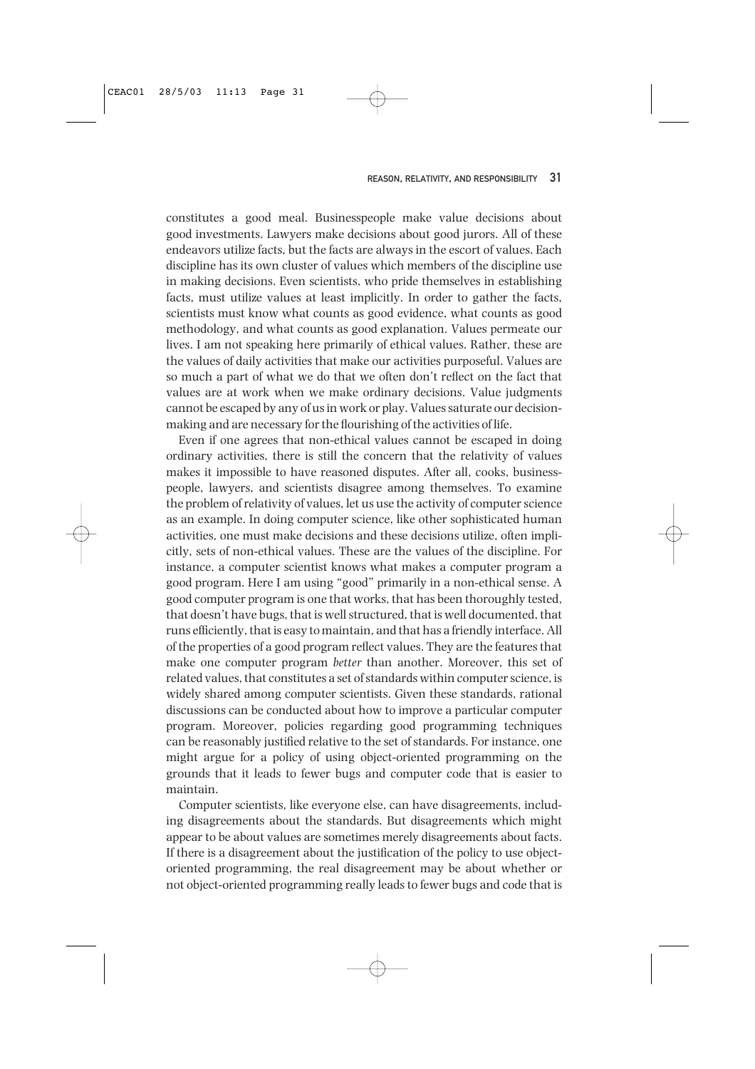constitutes a good meal. Businesspeople make value decisions about good investments. Lawyers make decisions about good jurors. All of these endeavors utilize facts, but the facts are always in the escort of values. Each discipline has its own cluster of values which members of the discipline use in making decisions. Even scientists, who pride themselves in establishing facts, must utilize values at least implicitly. In order to gather the facts, scientists must know what counts as good evidence, what counts as good methodology, and what counts as good explanation. Values permeate our lives. I am not speaking here primarily of ethical values. Rather, these are the values of daily activities that make our activities purposeful. Values are so much a part of what we do that we often don't reflect on the fact that values are at work when we make ordinary decisions. Value judgments cannot be escaped by any of us in work or play. Values saturate our decisionmaking and are necessary for the flourishing of the activities of life.

Even if one agrees that non-ethical values cannot be escaped in doing ordinary activities, there is still the concern that the relativity of values makes it impossible to have reasoned disputes. After all, cooks, businesspeople, lawyers, and scientists disagree among themselves. To examine the problem of relativity of values, let us use the activity of computer science as an example. In doing computer science, like other sophisticated human activities, one must make decisions and these decisions utilize, often implicitly, sets of non-ethical values. These are the values of the discipline. For instance, a computer scientist knows what makes a computer program a good program. Here I am using "good" primarily in a non-ethical sense. A good computer program is one that works, that has been thoroughly tested, that doesn't have bugs, that is well structured, that is well documented, that runs efficiently, that is easy to maintain, and that has a friendly interface. All of the properties of a good program reflect values. They are the features that make one computer program *better* than another. Moreover, this set of related values, that constitutes a set of standards within computer science, is widely shared among computer scientists. Given these standards, rational discussions can be conducted about how to improve a particular computer program. Moreover, policies regarding good programming techniques can be reasonably justified relative to the set of standards. For instance, one might argue for a policy of using object-oriented programming on the grounds that it leads to fewer bugs and computer code that is easier to maintain.

Computer scientists, like everyone else, can have disagreements, including disagreements about the standards. But disagreements which might appear to be about values are sometimes merely disagreements about facts. If there is a disagreement about the justification of the policy to use objectoriented programming, the real disagreement may be about whether or not object-oriented programming really leads to fewer bugs and code that is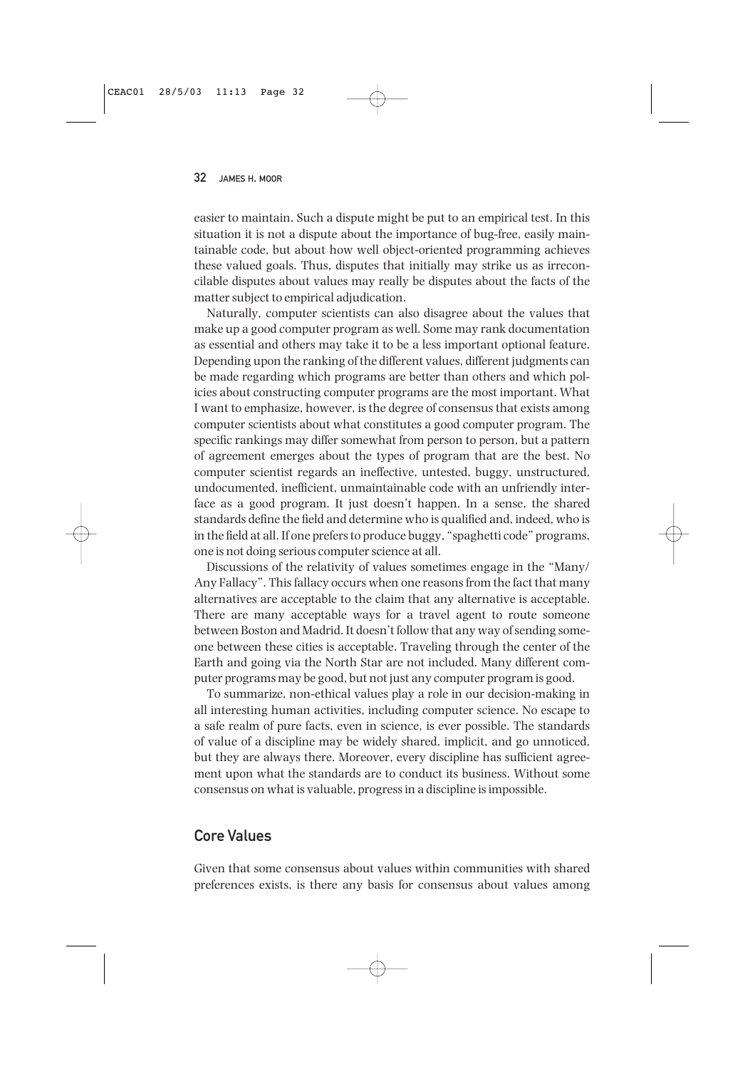easier to maintain. Such a dispute might be put to an empirical test. In this situation it is not a dispute about the importance of bug-free, easily maintainable code, but about how well object-oriented programming achieves these valued goals. Thus, disputes that initially may strike us as irreconcilable disputes about values may really be disputes about the facts of the matter subject to empirical adjudication.

Naturally, computer scientists can also disagree about the values that make up a good computer program as well. Some may rank documentation as essential and others may take it to be a less important optional feature. Depending upon the ranking of the different values, different judgments can be made regarding which programs are better than others and which policies about constructing computer programs are the most important. What I want to emphasize, however, is the degree of consensus that exists among computer scientists about what constitutes a good computer program. The specific rankings may differ somewhat from person to person, but a pattern of agreement emerges about the types of program that are the best. No computer scientist regards an ineffective, untested, buggy, unstructured, undocumented, inefficient, unmaintainable code with an unfriendly interface as a good program. It just doesn't happen. In a sense, the shared standards define the field and determine who is qualified and, indeed, who is in the field at all. If one prefers to produce buggy, "spaghetti code" programs, one is not doing serious computer science at all.

Discussions of the relativity of values sometimes engage in the "Many/ Any Fallacy". This fallacy occurs when one reasons from the fact that many alternatives are acceptable to the claim that any alternative is acceptable. There are many acceptable ways for a travel agent to route someone between Boston and Madrid. It doesn't follow that any way of sending someone between these cities is acceptable. Traveling through the center of the Earth and going via the North Star are not included. Many different computer programs may be good, but not just any computer program is good.

To summarize, non-ethical values play a role in our decision-making in all interesting human activities, including computer science. No escape to a safe realm of pure facts, even in science, is ever possible. The standards of value of a discipline may be widely shared, implicit, and go unnoticed, but they are always there. Moreover, every discipline has sufficient agreement upon what the standards are to conduct its business. Without some consensus on what is valuable, progress in a discipline is impossible.

## Core Values

Given that some consensus about values within communities with shared preferences exists, is there any basis for consensus about values among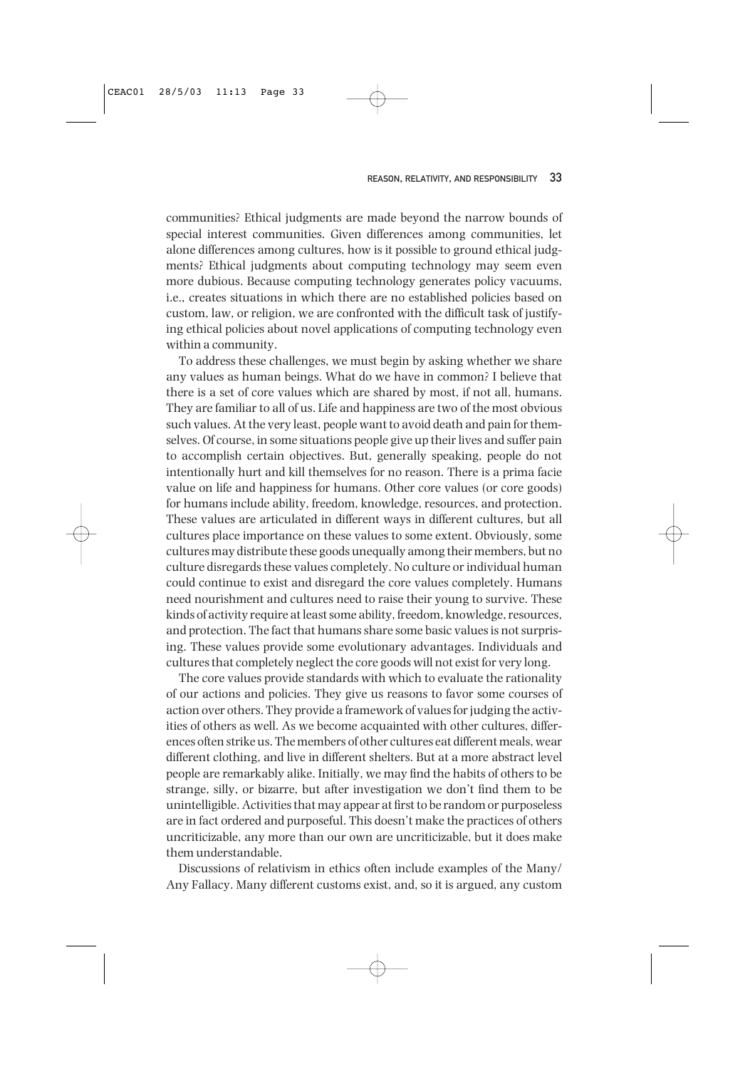communities? Ethical judgments are made beyond the narrow bounds of special interest communities. Given differences among communities, let alone differences among cultures, how is it possible to ground ethical judgments? Ethical judgments about computing technology may seem even more dubious. Because computing technology generates policy vacuums, i.e., creates situations in which there are no established policies based on custom, law, or religion, we are confronted with the difficult task of justifying ethical policies about novel applications of computing technology even within a community.

To address these challenges, we must begin by asking whether we share any values as human beings. What do we have in common? I believe that there is a set of core values which are shared by most, if not all, humans. They are familiar to all of us. Life and happiness are two of the most obvious such values. At the very least, people want to avoid death and pain for themselves. Of course, in some situations people give up their lives and suffer pain to accomplish certain objectives. But, generally speaking, people do not intentionally hurt and kill themselves for no reason. There is a prima facie value on life and happiness for humans. Other core values (or core goods) for humans include ability, freedom, knowledge, resources, and protection. These values are articulated in different ways in different cultures, but all cultures place importance on these values to some extent. Obviously, some cultures may distribute these goods unequally among their members, but no culture disregards these values completely. No culture or individual human could continue to exist and disregard the core values completely. Humans need nourishment and cultures need to raise their young to survive. These kinds of activity require at least some ability, freedom, knowledge, resources, and protection. The fact that humans share some basic values is not surprising. These values provide some evolutionary advantages. Individuals and cultures that completely neglect the core goods will not exist for very long.

The core values provide standards with which to evaluate the rationality of our actions and policies. They give us reasons to favor some courses of action over others. They provide a framework of values for judging the activities of others as well. As we become acquainted with other cultures, differences often strike us. The members of other cultures eat different meals, wear different clothing, and live in different shelters. But at a more abstract level people are remarkably alike. Initially, we may find the habits of others to be strange, silly, or bizarre, but after investigation we don't find them to be unintelligible. Activities that may appear at first to be random or purposeless are in fact ordered and purposeful. This doesn't make the practices of others uncriticizable, any more than our own are uncriticizable, but it does make them understandable.

Discussions of relativism in ethics often include examples of the Many/ Any Fallacy. Many different customs exist, and, so it is argued, any custom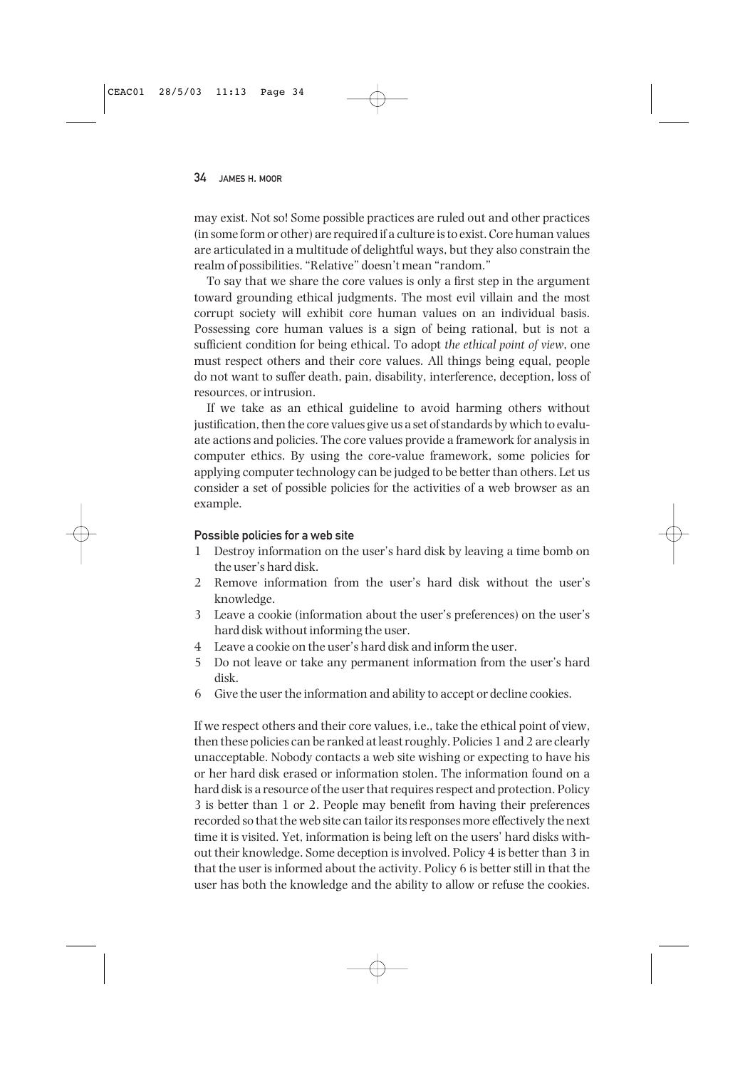may exist. Not so! Some possible practices are ruled out and other practices (in some form or other) are required if a culture is to exist. Core human values are articulated in a multitude of delightful ways, but they also constrain the realm of possibilities. "Relative" doesn't mean "random."

To say that we share the core values is only a first step in the argument toward grounding ethical judgments. The most evil villain and the most corrupt society will exhibit core human values on an individual basis. Possessing core human values is a sign of being rational, but is not a sufficient condition for being ethical. To adopt *the ethical point of view*, one must respect others and their core values. All things being equal, people do not want to suffer death, pain, disability, interference, deception, loss of resources, or intrusion.

If we take as an ethical guideline to avoid harming others without justification, then the core values give us a set of standards by which to evaluate actions and policies. The core values provide a framework for analysis in computer ethics. By using the core-value framework, some policies for applying computer technology can be judged to be better than others. Let us consider a set of possible policies for the activities of a web browser as an example.

#### Possible policies for a web site

- 1 Destroy information on the user's hard disk by leaving a time bomb on the user's hard disk.
- 2 Remove information from the user's hard disk without the user's knowledge.
- 3 Leave a cookie (information about the user's preferences) on the user's hard disk without informing the user.
- 4 Leave a cookie on the user's hard disk and inform the user.
- 5 Do not leave or take any permanent information from the user's hard disk.
- 6 Give the user the information and ability to accept or decline cookies.

If we respect others and their core values, i.e., take the ethical point of view, then these policies can be ranked at least roughly. Policies 1 and 2 are clearly unacceptable. Nobody contacts a web site wishing or expecting to have his or her hard disk erased or information stolen. The information found on a hard disk is a resource of the user that requires respect and protection. Policy 3 is better than 1 or 2. People may benefit from having their preferences recorded so that the web site can tailor its responses more effectively the next time it is visited. Yet, information is being left on the users' hard disks without their knowledge. Some deception is involved. Policy 4 is better than 3 in that the user is informed about the activity. Policy 6 is better still in that the user has both the knowledge and the ability to allow or refuse the cookies.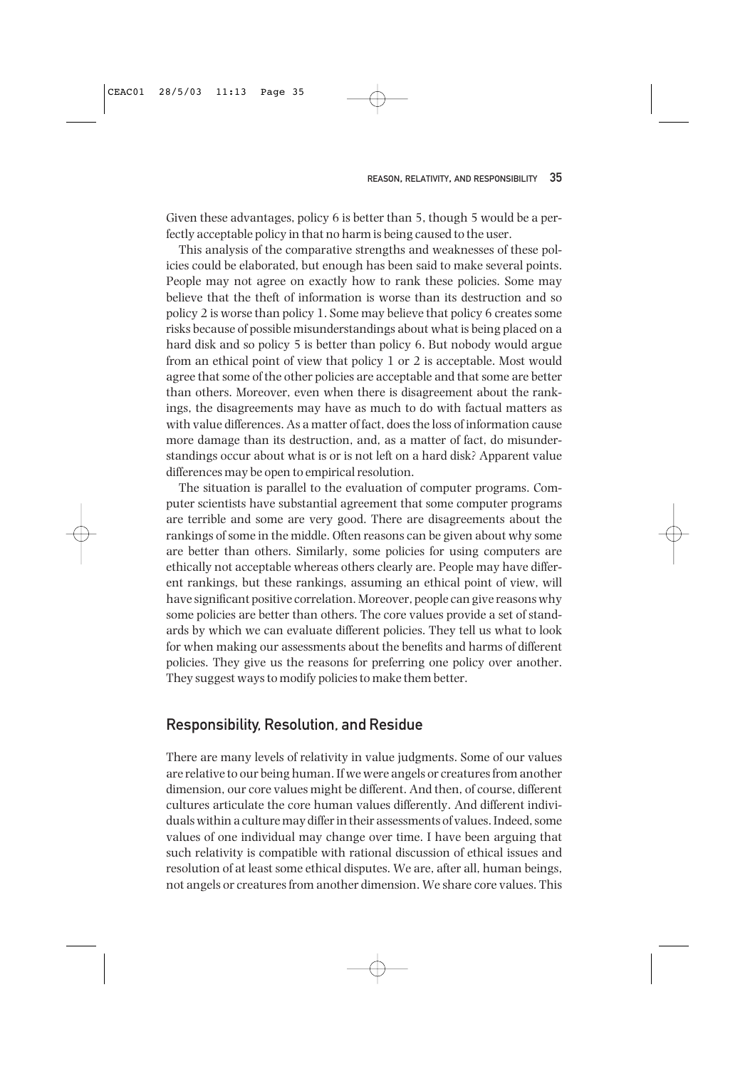Given these advantages, policy 6 is better than 5, though 5 would be a perfectly acceptable policy in that no harm is being caused to the user.

This analysis of the comparative strengths and weaknesses of these policies could be elaborated, but enough has been said to make several points. People may not agree on exactly how to rank these policies. Some may believe that the theft of information is worse than its destruction and so policy 2 is worse than policy 1. Some may believe that policy 6 creates some risks because of possible misunderstandings about what is being placed on a hard disk and so policy 5 is better than policy 6. But nobody would argue from an ethical point of view that policy 1 or 2 is acceptable. Most would agree that some of the other policies are acceptable and that some are better than others. Moreover, even when there is disagreement about the rankings, the disagreements may have as much to do with factual matters as with value differences. As a matter of fact, does the loss of information cause more damage than its destruction, and, as a matter of fact, do misunderstandings occur about what is or is not left on a hard disk? Apparent value differences may be open to empirical resolution.

The situation is parallel to the evaluation of computer programs. Computer scientists have substantial agreement that some computer programs are terrible and some are very good. There are disagreements about the rankings of some in the middle. Often reasons can be given about why some are better than others. Similarly, some policies for using computers are ethically not acceptable whereas others clearly are. People may have different rankings, but these rankings, assuming an ethical point of view, will have significant positive correlation. Moreover, people can give reasons why some policies are better than others. The core values provide a set of standards by which we can evaluate different policies. They tell us what to look for when making our assessments about the benefits and harms of different policies. They give us the reasons for preferring one policy over another. They suggest ways to modify policies to make them better.

### Responsibility, Resolution, and Residue

There are many levels of relativity in value judgments. Some of our values are relative to our being human. If we were angels or creatures from another dimension, our core values might be different. And then, of course, different cultures articulate the core human values differently. And different individuals within a culture may differ in their assessments of values. Indeed, some values of one individual may change over time. I have been arguing that such relativity is compatible with rational discussion of ethical issues and resolution of at least some ethical disputes. We are, after all, human beings, not angels or creatures from another dimension. We share core values. This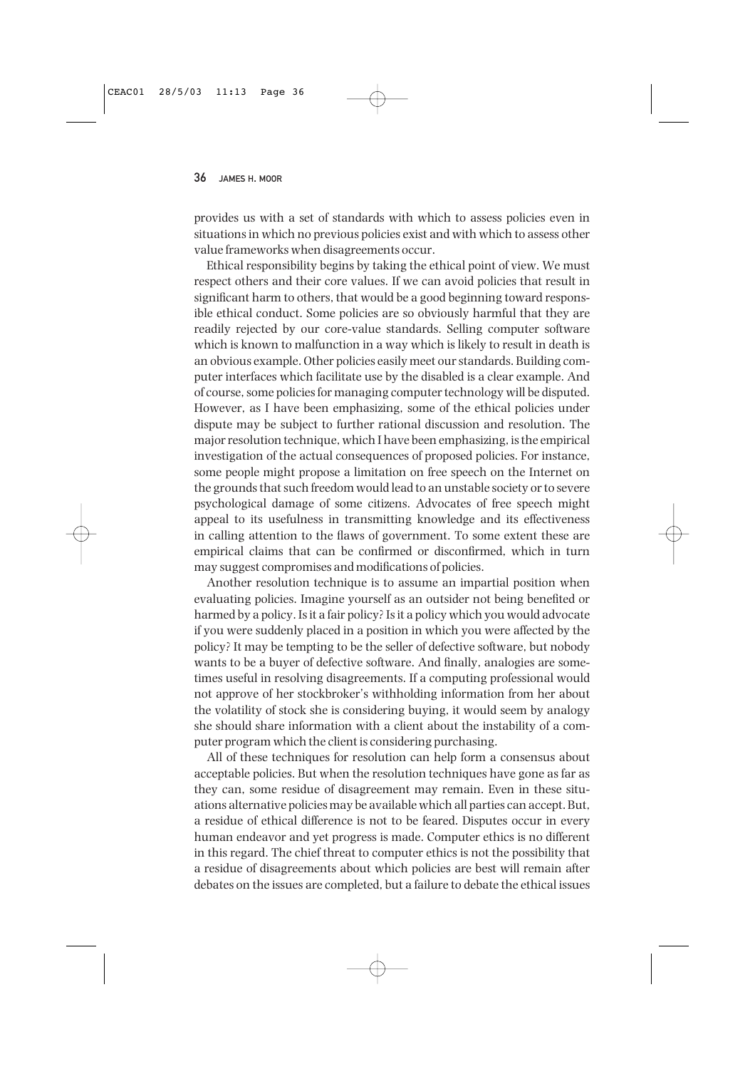provides us with a set of standards with which to assess policies even in situations in which no previous policies exist and with which to assess other value frameworks when disagreements occur.

Ethical responsibility begins by taking the ethical point of view. We must respect others and their core values. If we can avoid policies that result in significant harm to others, that would be a good beginning toward responsible ethical conduct. Some policies are so obviously harmful that they are readily rejected by our core-value standards. Selling computer software which is known to malfunction in a way which is likely to result in death is an obvious example. Other policies easily meet our standards. Building computer interfaces which facilitate use by the disabled is a clear example. And of course, some policies for managing computer technology will be disputed. However, as I have been emphasizing, some of the ethical policies under dispute may be subject to further rational discussion and resolution. The major resolution technique, which I have been emphasizing, is the empirical investigation of the actual consequences of proposed policies. For instance, some people might propose a limitation on free speech on the Internet on the grounds that such freedom would lead to an unstable society or to severe psychological damage of some citizens. Advocates of free speech might appeal to its usefulness in transmitting knowledge and its effectiveness in calling attention to the flaws of government. To some extent these are empirical claims that can be confirmed or disconfirmed, which in turn may suggest compromises and modifications of policies.

Another resolution technique is to assume an impartial position when evaluating policies. Imagine yourself as an outsider not being benefited or harmed by a policy. Is it a fair policy? Is it a policy which you would advocate if you were suddenly placed in a position in which you were affected by the policy? It may be tempting to be the seller of defective software, but nobody wants to be a buyer of defective software. And finally, analogies are sometimes useful in resolving disagreements. If a computing professional would not approve of her stockbroker's withholding information from her about the volatility of stock she is considering buying, it would seem by analogy she should share information with a client about the instability of a computer program which the client is considering purchasing.

All of these techniques for resolution can help form a consensus about acceptable policies. But when the resolution techniques have gone as far as they can, some residue of disagreement may remain. Even in these situations alternative policies may be available which all parties can accept. But, a residue of ethical difference is not to be feared. Disputes occur in every human endeavor and yet progress is made. Computer ethics is no different in this regard. The chief threat to computer ethics is not the possibility that a residue of disagreements about which policies are best will remain after debates on the issues are completed, but a failure to debate the ethical issues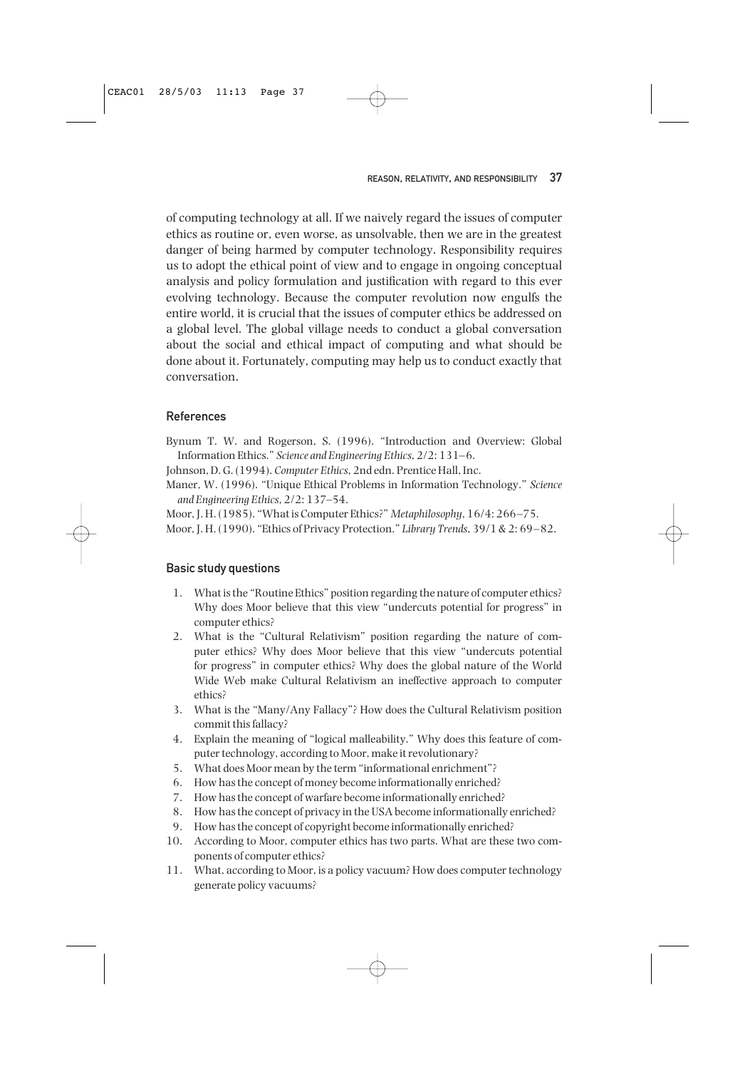of computing technology at all. If we naively regard the issues of computer ethics as routine or, even worse, as unsolvable, then we are in the greatest danger of being harmed by computer technology. Responsibility requires us to adopt the ethical point of view and to engage in ongoing conceptual analysis and policy formulation and justification with regard to this ever evolving technology. Because the computer revolution now engulfs the entire world, it is crucial that the issues of computer ethics be addressed on a global level. The global village needs to conduct a global conversation about the social and ethical impact of computing and what should be done about it. Fortunately, computing may help us to conduct exactly that conversation.

#### References

Bynum T. W. and Rogerson, S. (1996). "Introduction and Overview: Global Information Ethics." *Science and Engineering Ethics*, 2/2: 131–6.

Johnson, D. G. (1994). *Computer Ethics*, 2nd edn. Prentice Hall, Inc.

- Maner, W. (1996). "Unique Ethical Problems in Information Technology." *Science and Engineering Ethics*, 2/2: 137–54.
- Moor, J. H. (1985). "What is Computer Ethics?" *Metaphilosophy*, 16/4: 266–75.

Moor, J. H. (1990). "Ethics of Privacy Protection." *Library Trends*, 39/1 & 2: 69–82.

### Basic study questions

- 1. What is the "Routine Ethics" position regarding the nature of computer ethics? Why does Moor believe that this view "undercuts potential for progress" in computer ethics?
- 2. What is the "Cultural Relativism" position regarding the nature of computer ethics? Why does Moor believe that this view "undercuts potential for progress" in computer ethics? Why does the global nature of the World Wide Web make Cultural Relativism an ineffective approach to computer ethics?
- 3. What is the "Many/Any Fallacy"? How does the Cultural Relativism position commit this fallacy?
- 4. Explain the meaning of "logical malleability." Why does this feature of computer technology, according to Moor, make it revolutionary?
- 5. What does Moor mean by the term "informational enrichment"?
- 6. How has the concept of money become informationally enriched?
- 7. How has the concept of warfare become informationally enriched?
- 8. How has the concept of privacy in the USA become informationally enriched?
- 9. How has the concept of copyright become informationally enriched?
- 10. According to Moor, computer ethics has two parts. What are these two components of computer ethics?
- 11. What, according to Moor, is a policy vacuum? How does computer technology generate policy vacuums?